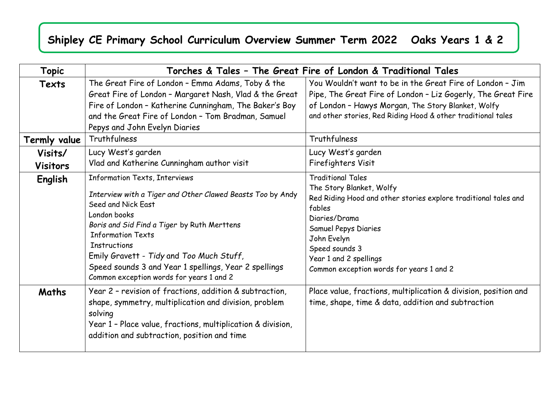## **Shipley CE Primary School Curriculum Overview Summer Term 2022 Oaks Years 1 & 2**

| Topic                      | Torches & Tales - The Great Fire of London & Traditional Tales                                                                                                                                                                                                                                                                                                                       |                                                                                                                                                                                                                                                                                   |  |
|----------------------------|--------------------------------------------------------------------------------------------------------------------------------------------------------------------------------------------------------------------------------------------------------------------------------------------------------------------------------------------------------------------------------------|-----------------------------------------------------------------------------------------------------------------------------------------------------------------------------------------------------------------------------------------------------------------------------------|--|
| Texts                      | The Great Fire of London - Emma Adams, Toby & the<br>Great Fire of London - Margaret Nash, Vlad & the Great<br>Fire of London - Katherine Cunningham, The Baker's Boy<br>and the Great Fire of London - Tom Bradman, Samuel<br>Pepys and John Evelyn Diaries                                                                                                                         | You Wouldn't want to be in the Great Fire of London - Jim<br>Pipe, The Great Fire of London - Liz Gogerly, The Great Fire<br>of London - Hawys Morgan, The Story Blanket, Wolfy<br>and other stories, Red Riding Hood & other traditional tales                                   |  |
| Termly value               | Truthfulness                                                                                                                                                                                                                                                                                                                                                                         | Truthfulness                                                                                                                                                                                                                                                                      |  |
| Visits/<br><b>Visitors</b> | Lucy West's garden<br>Vlad and Katherine Cunningham author visit                                                                                                                                                                                                                                                                                                                     | Lucy West's garden<br>Firefighters Visit                                                                                                                                                                                                                                          |  |
| English                    | Information Texts, Interviews<br>Interview with a Tiger and Other Clawed Beasts Too by Andy<br>Seed and Nick East<br>London books<br>Boris and Sid Find a Tiger by Ruth Merttens<br><b>Information Texts</b><br><b>Instructions</b><br>Emily Gravett - Tidy and Too Much Stuff,<br>Speed sounds 3 and Year 1 spellings, Year 2 spellings<br>Common exception words for years 1 and 2 | <b>Traditional Tales</b><br>The Story Blanket, Wolfy<br>Red Riding Hood and other stories explore traditional tales and<br>fables<br>Diaries/Drama<br>Samuel Pepys Diaries<br>John Evelyn<br>Speed sounds 3<br>Year 1 and 2 spellings<br>Common exception words for years 1 and 2 |  |
| Maths                      | Year 2 - revision of fractions, addition & subtraction,<br>shape, symmetry, multiplication and division, problem<br>solving<br>Year 1 - Place value, fractions, multiplication & division,<br>addition and subtraction, position and time                                                                                                                                            | Place value, fractions, multiplication & division, position and<br>time, shape, time & data, addition and subtraction                                                                                                                                                             |  |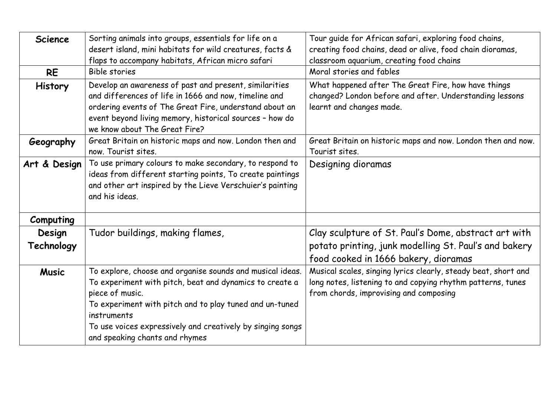| <b>Science</b><br><b>RE</b> | Sorting animals into groups, essentials for life on a<br>desert island, mini habitats for wild creatures, facts &<br>flaps to accompany habitats, African micro safari<br><b>Bible stories</b>                                                                                                                    | Tour guide for African safari, exploring food chains,<br>creating food chains, dead or alive, food chain dioramas,<br>classroom aquarium, creating food chains<br>Moral stories and fables |
|-----------------------------|-------------------------------------------------------------------------------------------------------------------------------------------------------------------------------------------------------------------------------------------------------------------------------------------------------------------|--------------------------------------------------------------------------------------------------------------------------------------------------------------------------------------------|
| <b>History</b>              | Develop an awareness of past and present, similarities<br>and differences of life in 1666 and now, timeline and<br>ordering events of The Great Fire, understand about an<br>event beyond living memory, historical sources - how do<br>we know about The Great Fire?                                             | What happened after The Great Fire, how have things<br>changed? London before and after. Understanding lessons<br>learnt and changes made.                                                 |
| Geography                   | Great Britain on historic maps and now. London then and<br>now. Tourist sites.                                                                                                                                                                                                                                    | Great Britain on historic maps and now. London then and now.<br>Tourist sites.                                                                                                             |
| Art & Design                | To use primary colours to make secondary, to respond to<br>ideas from different starting points, To create paintings<br>and other art inspired by the Lieve Verschuier's painting<br>and his ideas.                                                                                                               | Designing dioramas                                                                                                                                                                         |
| Computing                   |                                                                                                                                                                                                                                                                                                                   |                                                                                                                                                                                            |
| Design                      | Tudor buildings, making flames,                                                                                                                                                                                                                                                                                   | Clay sculpture of St. Paul's Dome, abstract art with                                                                                                                                       |
| Technology                  |                                                                                                                                                                                                                                                                                                                   | potato printing, junk modelling St. Paul's and bakery<br>food cooked in 1666 bakery, dioramas                                                                                              |
| <b>Music</b>                | To explore, choose and organise sounds and musical ideas.<br>To experiment with pitch, beat and dynamics to create a<br>piece of music.<br>To experiment with pitch and to play tuned and un-tuned<br>instruments<br>To use voices expressively and creatively by singing songs<br>and speaking chants and rhymes | Musical scales, singing lyrics clearly, steady beat, short and<br>long notes, listening to and copying rhythm patterns, tunes<br>from chords, improvising and composing                    |